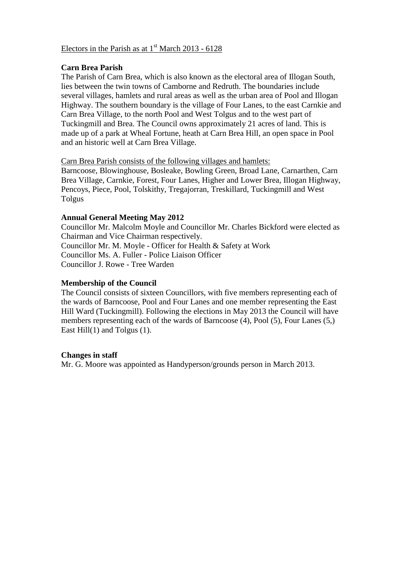#### Electors in the Parish as at  $1<sup>st</sup>$  March 2013 - 6128

#### **Carn Brea Parish**

The Parish of Carn Brea, which is also known as the electoral area of Illogan South, lies between the twin towns of Camborne and Redruth. The boundaries include several villages, hamlets and rural areas as well as the urban area of Pool and Illogan Highway. The southern boundary is the village of Four Lanes, to the east Carnkie and Carn Brea Village, to the north Pool and West Tolgus and to the west part of Tuckingmill and Brea. The Council owns approximately 21 acres of land. This is made up of a park at Wheal Fortune, heath at Carn Brea Hill, an open space in Pool and an historic well at Carn Brea Village.

#### Carn Brea Parish consists of the following villages and hamlets:

Barncoose, Blowinghouse, Bosleake, Bowling Green, Broad Lane, Carnarthen, Carn Brea Village, Carnkie, Forest, Four Lanes, Higher and Lower Brea, Illogan Highway, Pencoys, Piece, Pool, Tolskithy, Tregajorran, Treskillard, Tuckingmill and West Tolgus

#### **Annual General Meeting May 2012**

Councillor Mr. Malcolm Moyle and Councillor Mr. Charles Bickford were elected as Chairman and Vice Chairman respectively. Councillor Mr. M. Moyle - Officer for Health & Safety at Work Councillor Ms. A. Fuller - Police Liaison Officer Councillor J. Rowe - Tree Warden

#### **Membership of the Council**

The Council consists of sixteen Councillors, with five members representing each of the wards of Barncoose, Pool and Four Lanes and one member representing the East Hill Ward (Tuckingmill). Following the elections in May 2013 the Council will have members representing each of the wards of Barncoose (4), Pool (5), Four Lanes (5,) East Hill(1) and Tolgus (1).

#### **Changes in staff**

Mr. G. Moore was appointed as Handyperson/grounds person in March 2013.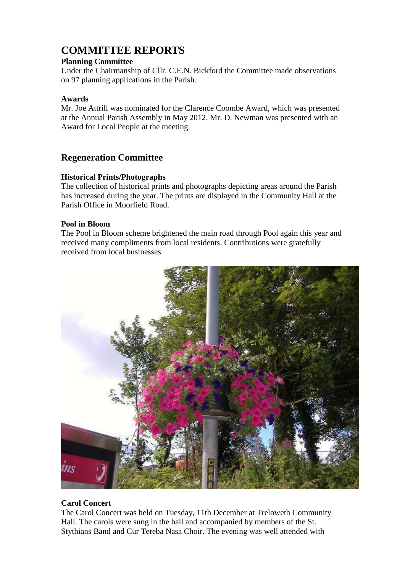### **COMMITTEE REPORTS**

#### **Planning Committee**

Under the Chairmanship of Cllr. C.E.N. Bickford the Committee made observations on 97 planning applications in the Parish.

#### **Awards**

Mr. Joe Attrill was nominated for the Clarence Coombe Award, which was presented at the Annual Parish Assembly in May 2012. Mr. D. Newman was presented with an Award for Local People at the meeting.

#### **Regeneration Committee**

#### **Historical Prints/Photographs**

The collection of historical prints and photographs depicting areas around the Parish has increased during the year. The prints are displayed in the Community Hall at the Parish Office in Moorfield Road.

#### **Pool in Bloom**

The Pool in Bloom scheme brightened the main road through Pool again this year and received many compliments from local residents. Contributions were gratefully received from local businesses.



#### **Carol Concert**

The Carol Concert was held on Tuesday, 11th December at Treloweth Community Hall. The carols were sung in the hall and accompanied by members of the St. Stythians Band and Cur Tereba Nasa Choir. The evening was well attended with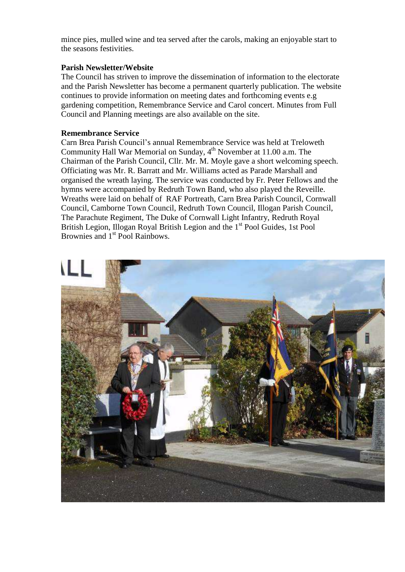mince pies, mulled wine and tea served after the carols, making an enjoyable start to the seasons festivities.

#### **Parish Newsletter/Website**

The Council has striven to improve the dissemination of information to the electorate and the Parish Newsletter has become a permanent quarterly publication. The website continues to provide information on meeting dates and forthcoming events e.g gardening competition, Remembrance Service and Carol concert. Minutes from Full Council and Planning meetings are also available on the site.

#### **Remembrance Service**

Carn Brea Parish Council's annual Remembrance Service was held at Treloweth Community Hall War Memorial on Sunday,  $4<sup>th</sup>$  November at 11.00 a.m. The Chairman of the Parish Council, Cllr. Mr. M. Moyle gave a short welcoming speech. Officiating was Mr. R. Barratt and Mr. Williams acted as Parade Marshall and organised the wreath laying. The service was conducted by Fr. Peter Fellows and the hymns were accompanied by Redruth Town Band, who also played the Reveille. Wreaths were laid on behalf of RAF Portreath, Carn Brea Parish Council, Cornwall Council, Camborne Town Council, Redruth Town Council, Illogan Parish Council, The Parachute Regiment, The Duke of Cornwall Light Infantry, Redruth Royal British Legion, Illogan Royal British Legion and the 1<sup>st</sup> Pool Guides, 1st Pool Brownies and 1<sup>st</sup> Pool Rainbows.

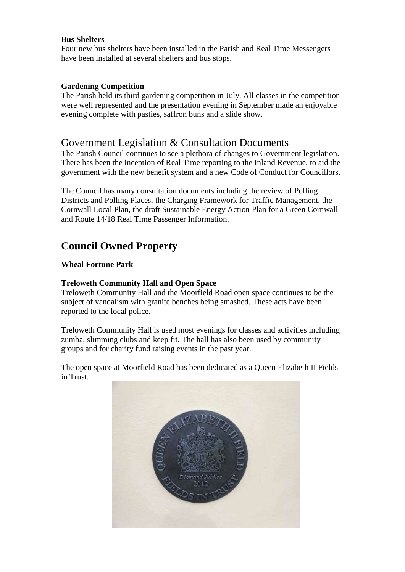#### **Bus Shelters**

Four new bus shelters have been installed in the Parish and Real Time Messengers have been installed at several shelters and bus stops.

#### **Gardening Competition**

The Parish held its third gardening competition in July. All classes in the competition were well represented and the presentation evening in September made an enjoyable evening complete with pasties, saffron buns and a slide show.

#### Government Legislation & Consultation Documents

The Parish Council continues to see a plethora of changes to Government legislation. There has been the inception of Real Time reporting to the Inland Revenue, to aid the government with the new benefit system and a new Code of Conduct for Councillors.

The Council has many consultation documents including the review of Polling Districts and Polling Places, the Charging Framework for Traffic Management, the Cornwall Local Plan, the draft Sustainable Energy Action Plan for a Green Cornwall and Route 14/18 Real Time Passenger Information.

## **Council Owned Property**

#### **Wheal Fortune Park**

#### **Treloweth Community Hall and Open Space**

Treloweth Community Hall and the Moorfield Road open space continues to be the subject of vandalism with granite benches being smashed. These acts have been reported to the local police.

Treloweth Community Hall is used most evenings for classes and activities including zumba, slimming clubs and keep fit. The hall has also been used by community groups and for charity fund raising events in the past year.

The open space at Moorfield Road has been dedicated as a Queen Elizabeth II Fields in Trust.

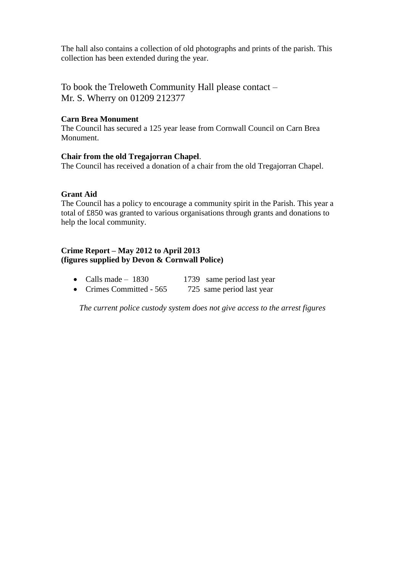The hall also contains a collection of old photographs and prints of the parish. This collection has been extended during the year.

To book the Treloweth Community Hall please contact – Mr. S. Wherry on 01209 212377

#### **Carn Brea Monument**

The Council has secured a 125 year lease from Cornwall Council on Carn Brea Monument.

#### **Chair from the old Tregajorran Chapel**.

The Council has received a donation of a chair from the old Tregajorran Chapel.

#### **Grant Aid**

The Council has a policy to encourage a community spirit in the Parish. This year a total of £850 was granted to various organisations through grants and donations to help the local community.

#### **Crime Report – May 2012 to April 2013 (figures supplied by Devon & Cornwall Police)**

- Calls made  $1830$  1739 same period last year
- Crimes Committed 565 725 same period last year

*The current police custody system does not give access to the arrest figures*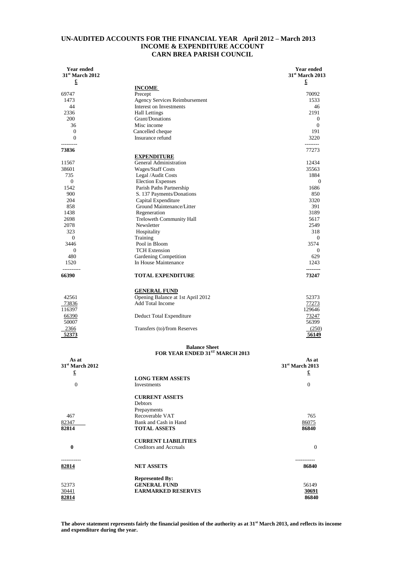#### **UN-AUDITED ACCOUNTS FOR THE FINANCIAL YEAR April 2012 – March 2013 INCOME & EXPENDITURE ACCOUNT CARN BREA PARISH COUNCIL**

| Year ended<br>$31st$ March 2012 |                                   | Year ended<br>31 <sup>st</sup> March 2013 |
|---------------------------------|-----------------------------------|-------------------------------------------|
| £                               |                                   | £                                         |
|                                 | <b>INCOME</b>                     |                                           |
| 69747                           | Precept                           | 70092                                     |
| 1473                            | Agency Services Reimbursement     | 1533                                      |
| 44                              | Interest on Investments           | 46                                        |
| 2336                            | <b>Hall Lettings</b>              | 2191                                      |
| 200                             | Grant/Donations                   | $\theta$                                  |
| 36                              | Misc income                       | $\mathbf{0}$                              |
| $\mathbf{0}$                    | Cancelled cheque                  | 191                                       |
| $\Omega$                        | Insurance refund                  | 3220                                      |
|                                 |                                   | --------                                  |
| 73836                           |                                   | 77273                                     |
|                                 | <b>EXPENDITURE</b>                |                                           |
| 11567                           | General Administration            | 12434                                     |
| 38601                           | Wages/Staff Costs                 | 35563                                     |
| 735                             | Legal / Audit Costs               | 1884                                      |
| $\overline{0}$                  | <b>Election Expenses</b>          | $\theta$                                  |
| 1542                            | Parish Paths Partnership          | 1686                                      |
| 900                             | S. 137 Payments/Donations         | 850                                       |
| 204                             | Capital Expenditure               | 3320                                      |
| 858                             | Ground Maintenance/Litter         | 391                                       |
| 1438                            | Regeneration                      | 3189                                      |
| 2698                            | Treloweth Community Hall          | 5617                                      |
| 2078                            | Newsletter                        | 2549                                      |
| 323                             | Hospitality                       | 318                                       |
| $\overline{0}$                  | Training                          | $\theta$                                  |
| 3446                            | Pool in Bloom                     | 3574                                      |
| $\mathbf{0}$                    | <b>TCH Extension</b>              | $\theta$                                  |
| 480                             | Gardening Competition             | 629                                       |
| 1520                            | In House Maintenance              | 1243                                      |
| ----------                      |                                   | --------                                  |
| 66390                           | <b>TOTAL EXPENDITURE</b>          | 73247                                     |
|                                 |                                   |                                           |
|                                 | <b>GENERAL FUND</b>               |                                           |
| 42561                           | Opening Balance at 1st April 2012 | 52373                                     |
| 73836                           | Add Total Income                  | 77273                                     |
| 116397                          |                                   | 129646                                    |
| 66390                           | Deduct Total Expenditure          | 73247                                     |
| 50007                           |                                   | 56399                                     |
| 2366                            | Transfers (to)/from Reserves      | (250)                                     |
| <u>52373</u>                    |                                   | <u>56149</u>                              |
|                                 | <b>Balance Sheet</b>              |                                           |
|                                 | FOR YEAR ENDED 31ST MARCH 2013    |                                           |
| As at                           |                                   | As at                                     |
| 31 <sup>st</sup> March 2012     |                                   | 31 <sup>st</sup> March 2013               |
| £                               |                                   | £                                         |
|                                 | <b>LONG TERM ASSETS</b>           |                                           |
| $\boldsymbol{0}$                | Investments                       | $\mathbf{0}$                              |
|                                 |                                   |                                           |
|                                 | <b>CURRENT ASSETS</b>             |                                           |
|                                 | Debtors                           |                                           |
|                                 | Prepayments                       |                                           |
| 467                             | Recoverable VAT                   | 765                                       |
| 82347                           | Bank and Cash in Hand             | 86075                                     |
| 82814                           | <b>TOTAL ASSETS</b>               | 86840                                     |
|                                 |                                   |                                           |
|                                 | <b>CURRENT LIABILITIES</b>        |                                           |
| 0                               | Creditors and Accruals            | $\mathbf{0}$                              |
|                                 |                                   |                                           |
| 82814                           | <b>NET ASSETS</b>                 | 86840                                     |
|                                 |                                   |                                           |
|                                 | <b>Represented By:</b>            |                                           |
| 52373                           | <b>GENERAL FUND</b>               | 56149                                     |
| 30441                           | <b>EARMARKED RESERVES</b>         | 30691                                     |
| 82814                           |                                   | 86840                                     |

**The above statement represents fairly the financial position of the authority as at 31st March 2013, and reflects its income and expenditure during the year.**